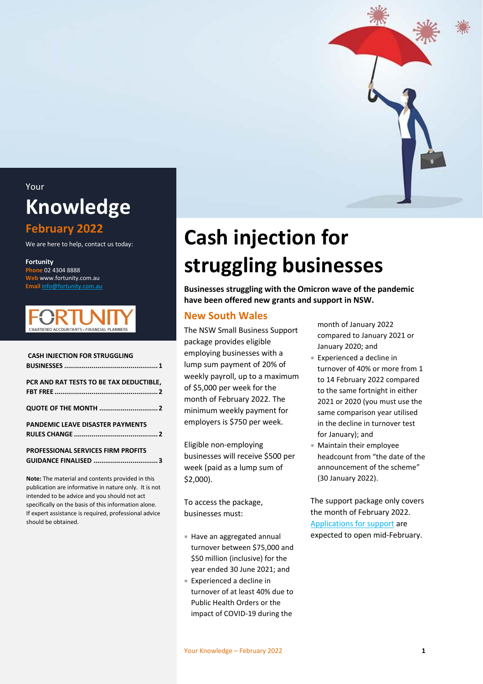

Your

# **Knowledge**

### **February 2022**

We are here to help, contact us today:

**Fortunity Phone** 02 4304 8888 **Web** www.fortunity.com.au **Email** [info@fortunity.com.au](mailto:info@fortunity.com.au)



| <b>CASH INJECTION FOR STRUGGLING</b>      |
|-------------------------------------------|
|                                           |
| PCR AND RAT TESTS TO BE TAX DEDUCTIBLE,   |
| <b>QUOTE OF THE MONTH  2</b>              |
| <b>PANDEMIC LEAVE DISASTER PAYMENTS</b>   |
|                                           |
| <b>PROFESSIONAL SERVICES FIRM PROFITS</b> |
|                                           |

**Note:** The material and contents provided in this publication are informative in nature only. It is not intended to be advice and you should not act specifically on the basis of this information alone. If expert assistance is required, professional advice should be obtained.

# <span id="page-0-0"></span>**Cash injection for struggling businesses**

**Businesses struggling with the Omicron wave of the pandemic have been offered new grants and support in NSW.**

### **New South Wales**

The NSW Small Business Support package provides eligible employing businesses with a lump sum payment of 20% of weekly payroll, up to a maximum of \$5,000 per week for the month of February 2022. The minimum weekly payment for employers is \$750 per week.

Eligible non-employing businesses will receive \$500 per week (paid as a lump sum of \$2,000).

To access the package, businesses must:

- Have an aggregated annual turnover between \$75,000 and \$50 million (inclusive) for the year ended 30 June 2021; and
- Experienced a decline in turnover of at least 40% due to Public Health Orders or the impact of COVID-19 during the

month of January 2022 compared to January 2021 or January 2020; and

- Experienced a decline in turnover of 40% or more from 1 to 14 February 2022 compared to the same fortnight in either 2021 or 2020 (you must use the same comparison year utilised in the decline in turnover test for January); and
- Maintain their employee headcount from "the date of the announcement of the scheme" (30 January 2022).

The support package only covers the month of February 2022. [Applications for support](https://www.service.nsw.gov.au/transaction/2022-small-business-support-program) are expected to open mid-February.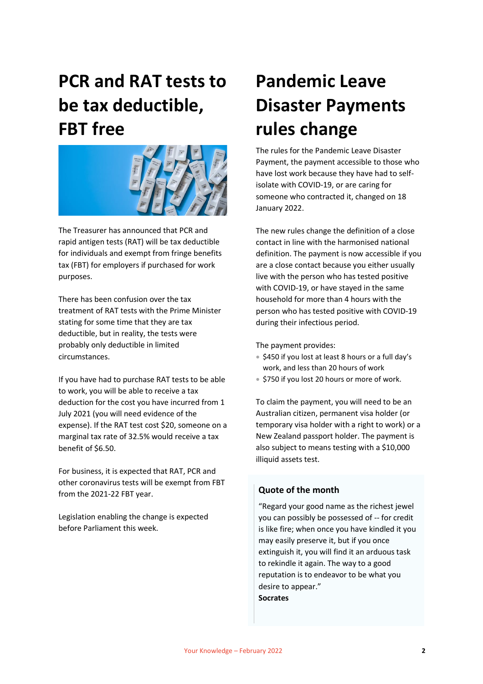### <span id="page-1-0"></span>**PCR and RAT tests to be tax deductible, FBT free**



The Treasurer has announced that PCR and rapid antigen tests (RAT) will be tax deductible for individuals and exempt from fringe benefits tax (FBT) for employers if purchased for work purposes.

There has been confusion over the tax treatment of RAT tests with the Prime Minister stating for some time that they are tax deductible, but in reality, the tests were probably only deductible in limited circumstances.

If you have had to purchase RAT tests to be able to work, you will be able to receive a tax deduction for the cost you have incurred from 1 July 2021 (you will need evidence of the expense). If the RAT test cost \$20, someone on a marginal tax rate of 32.5% would receive a tax benefit of \$6.50.

For business, it is expected that RAT, PCR and other coronavirus tests will be exempt from FBT from the 2021-22 FBT year.

Legislation enabling the change is expected before Parliament this week.

### <span id="page-1-1"></span>**Pandemic Leave Disaster Payments rules change**

The rules for the Pandemic Leave Disaster Payment, the payment accessible to those who have lost work because they have had to selfisolate with COVID-19, or are caring for someone who contracted it, changed on 18 January 2022.

The new rules change the definition of a close contact in line with the harmonised national definition. The payment is now accessible if you are a close contact because you either usually live with the person who has tested positive with COVID-19, or have stayed in the same household for more than 4 hours with the person who has tested positive with COVID-19 during their infectious period.

The payment provides:

- \$450 if you lost at least 8 hours or a full day's work, and less than 20 hours of work
- \$750 if you lost 20 hours or more of work.

To claim the payment, you will need to be an Australian citizen, permanent visa holder (or temporary visa holder with a right to work) or a New Zealand passport holder. The payment is also subject to means testing with a \$10,000 illiquid assets test.

### **Quote of the month**

"Regard your good name as the richest jewel you can possibly be possessed of -- for credit is like fire; when once you have kindled it you may easily preserve it, but if you once extinguish it, you will find it an arduous task to rekindle it again. The way to a good reputation is to endeavor to be what you desire to appear." **Socrates**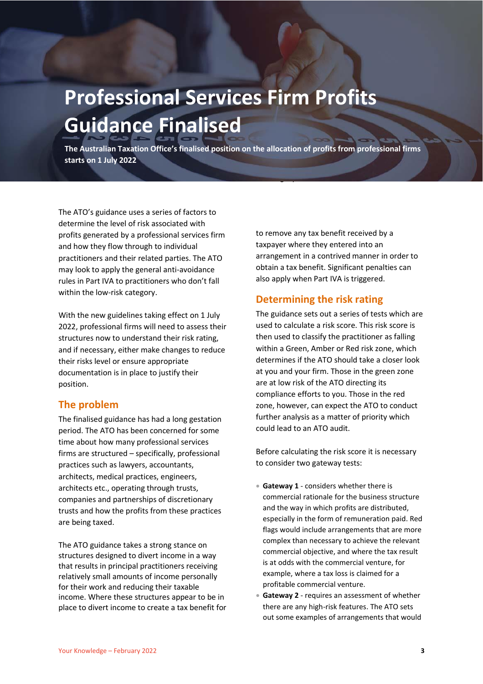## **Professional Services Firm Profits Guidance Finalised**

**The Australian Taxation Office's finalised position on the allocation of profits from professional firms starts on 1 July 2022**

The ATO's guidance uses a series of factors to determine the level of risk associated with profits generated by a professional services firm and how they flow through to individual practitioners and their related parties. The ATO may look to apply the general anti-avoidance rules in Part IVA to practitioners who don't fall within the low-risk category.

**The Australian Taxation Office's finalised** 

ervices Firm Profits Guidance Finalised

With the new guidelines taking effect on 1 July 2022, professional firms will need to assess their structures now to understand their risk rating, and if necessary, either make changes to reduce their risks level or ensure appropriate documentation is in place to justify their position.

### **The problem**

The finalised guidance has had a long gestation period. The ATO has been concerned for some time about how many professional services firms are structured – specifically, professional practices such as lawyers, accountants, architects, medical practices, engineers, architects etc., operating through trusts, companies and partnerships of discretionary trusts and how the profits from these practices are being taxed.

The ATO guidance takes a strong stance on structures designed to divert income in a way that results in principal practitioners receiving relatively small amounts of income personally for their work and reducing their taxable income. Where these structures appear to be in place to divert income to create a tax benefit for to remove any tax benefit received by a taxpayer where they entered into an arrangement in a contrived manner in order to obtain a tax benefit. Significant penalties can also apply when Part IVA is triggered.

an integrity rule which allows the Commission

the professional, Part IVA is a professional, Part IVA is a professional, Part IVA is a professional, Part IVA

### **Determining the risk rating**

The guidance sets out a series of tests which are used to calculate a risk score. This risk score is then used to classify the practitioner as falling within a Green, Amber or Red risk zone, which determines if the ATO should take a closer look at you and your firm. Those in the green zone are at low risk of the ATO directing its compliance efforts to you. Those in the red zone, however, can expect the ATO to conduct further analysis as a matter of priority which could lead to an ATO audit.

Before calculating the risk score it is necessary to consider two gateway tests:

- **Gateway 1** considers whether there is commercial rationale for the business structure and the way in which profits are distributed, especially in the form of remuneration paid. Red flags would include arrangements that are more complex than necessary to achieve the relevant commercial objective, and where the tax result is at odds with the commercial venture, for example, where a tax loss is claimed for a profitable commercial venture.
- Gateway 2 requires an assessment of whether there are any high-risk features. The ATO sets out some examples of arrangements that would